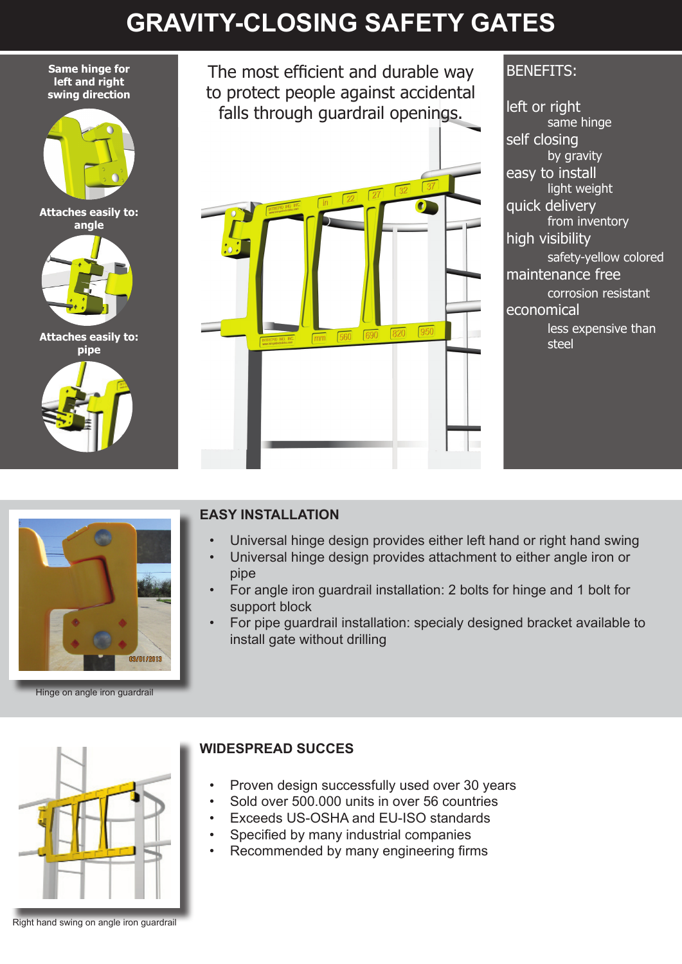## **GRAVITY-CLOSING SAFETY GATES**



The most efficient and durable way to protect people against accidental falls through guardrail openings.

# left or right self closing

BENEFITS:

same hinge by gravity easy to install light weight quick delivery from inventory high visibility safety-yellow colored maintenance free corrosion resistant economical less expensive than



Hinge on angle iron guardrail

#### **EASY INSTALLATION**

- Universal hinge design provides either left hand or right hand swing
- Universal hinge design provides attachment to either angle iron or pipe
- For angle iron guardrail installation: 2 bolts for hinge and 1 bolt for support block
- For pipe guardrail installation: specialy designed bracket available to install gate without drilling



#### **WIDESPREAD SUCCES**

- Proven design successfully used over 30 years
- Sold over 500.000 units in over 56 countries
- Exceeds US-OSHA and EU-ISO standards
- Specified by many industrial companies
- Recommended by many engineering firms

Right hand swing on angle iron guardrail